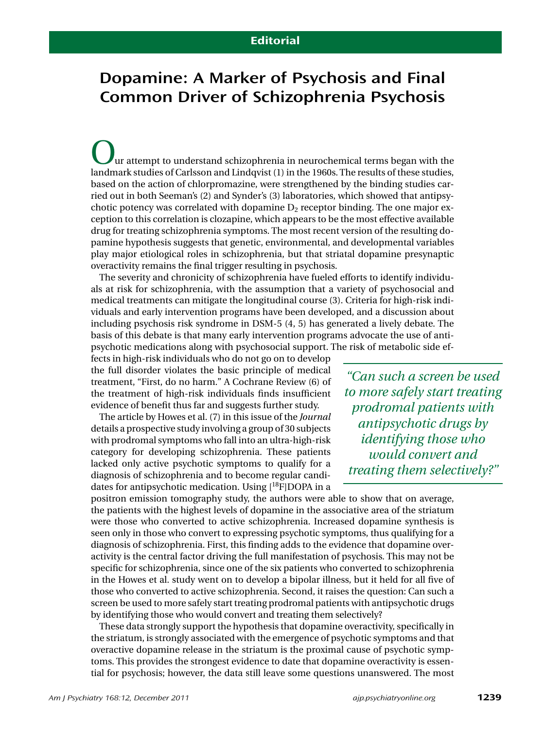## Dopamine: A Marker of Psychosis and Final Common Driver of Schizophrenia Psychosis

ur attempt to understand schizophrenia in neurochemical terms began with the landmark studies of Carlsson and Lindqvist (1) in the 1960s. The results of these studies, based on the action of chlorpromazine, were strengthened by the binding studies carried out in both Seeman's (2) and Synder's (3) laboratories, which showed that antipsychotic potency was correlated with dopamine  $D_2$  receptor binding. The one major exception to this correlation is clozapine, which appears to be the most effective available drug for treating schizophrenia symptoms. The most recent version of the resulting dopamine hypothesis suggests that genetic, environmental, and developmental variables play major etiological roles in schizophrenia, but that striatal dopamine presynaptic overactivity remains the final trigger resulting in psychosis.

The severity and chronicity of schizophrenia have fueled efforts to identify individuals at risk for schizophrenia, with the assumption that a variety of psychosocial and medical treatments can mitigate the longitudinal course (3). Criteria for high-risk individuals and early intervention programs have been developed, and a discussion about including psychosis risk syndrome in DSM-5 (4, 5) has generated a lively debate. The basis of this debate is that many early intervention programs advocate the use of antipsychotic medications along with psychosocial support. The risk of metabolic side ef-

fects in high-risk individuals who do not go on to develop the full disorder violates the basic principle of medical treatment, "First, do no harm." A Cochrane Review (6) of the treatment of high-risk individuals finds insufficient evidence of benefit thus far and suggests further study.

The article by Howes et al. (7) in this issue of the *Journal* details a prospective study involving a group of 30 subjects with prodromal symptoms who fall into an ultra-high-risk category for developing schizophrenia. These patients lacked only active psychotic symptoms to qualify for a diagnosis of schizophrenia and to become regular candidates for antipsychotic medication. Using  $[{}^{18}F]$ DOPA in a

*"Can such a screen be used to more safely start treating prodromal patients with antipsychotic drugs by identifying those who would convert and treating them selectively?"*

positron emission tomography study, the authors were able to show that on average, the patients with the highest levels of dopamine in the associative area of the striatum were those who converted to active schizophrenia. Increased dopamine synthesis is seen only in those who convert to expressing psychotic symptoms, thus qualifying for a diagnosis of schizophrenia. First, this finding adds to the evidence that dopamine overactivity is the central factor driving the full manifestation of psychosis. This may not be specific for schizophrenia, since one of the six patients who converted to schizophrenia in the Howes et al. study went on to develop a bipolar illness, but it held for all five of those who converted to active schizophrenia. Second, it raises the question: Can such a screen be used to more safely start treating prodromal patients with antipsychotic drugs by identifying those who would convert and treating them selectively?

These data strongly support the hypothesis that dopamine overactivity, specifically in the striatum, is strongly associated with the emergence of psychotic symptoms and that overactive dopamine release in the striatum is the proximal cause of psychotic symptoms. This provides the strongest evidence to date that dopamine overactivity is essential for psychosis; however, the data still leave some questions unanswered. The most